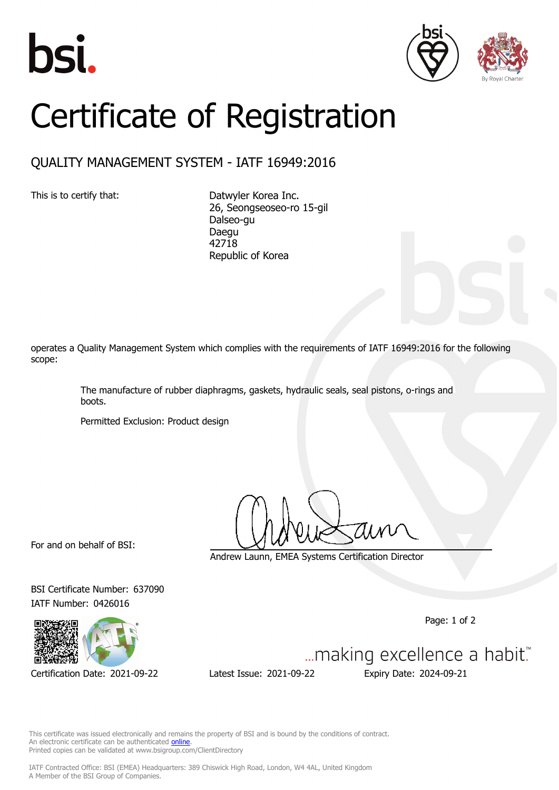





## Certificate of Registration

## QUALITY MANAGEMENT SYSTEM - IATF 16949:2016

This is to certify that: Datwyler Korea Inc. 26, Seongseoseo-ro 15-gil Dalseo-gu Daegu 42718 Republic of Korea

operates a Quality Management System which complies with the requirements of IATF 16949:2016 for the following scope:

> The manufacture of rubber diaphragms, gaskets, hydraulic seals, seal pistons, o-rings and boots.

Permitted Exclusion: Product design

For and on behalf of BSI:

Andrew Launn, EMEA Systems Certification Director

BSI Certificate Number: 637090 IATF Number: 0426016



Certification Date: 2021-09-22 Latest Issue: 2021-09-22 Expiry Date: 2024-09-21

Page: 1 of 2

... making excellence a habit."

This certificate was issued electronically and remains the property of BSI and is bound by the conditions of contract. An electronic certificate can be authenticated **[online](https://pgplus.bsigroup.com/CertificateValidation/CertificateValidator.aspx?CertificateNumber=TS+637090&ReIssueDate=22%2f09%2f2021&Template=cemea_en)** Printed copies can be validated at www.bsigroup.com/ClientDirectory

IATF Contracted Office: BSI (EMEA) Headquarters: 389 Chiswick High Road, London, W4 4AL, United Kingdom A Member of the BSI Group of Companies.